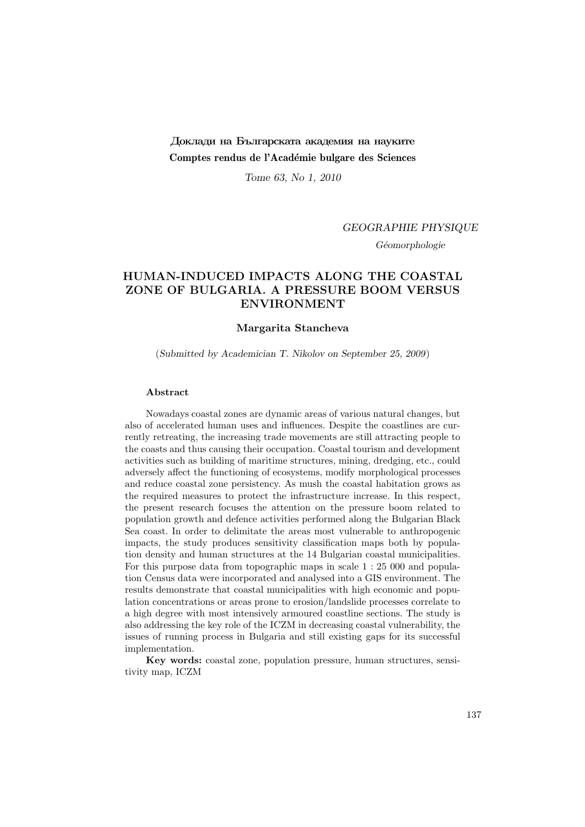# Доклади на Българската академия на науките Comptes rendus de l'Académie bulgare des Sciences

Tome 63, No 1, 2010

### GEOGRAPHIE PHYSIQUE

Géomorphologie

# HUMAN-INDUCED IMPACTS ALONG THE COASTAL ZONE OF BULGARIA. A PRESSURE BOOM VERSUS ENVIRONMENT

### Margarita Stancheva

(Submitted by Academician T. Nikolov on September 25, 2009)

#### Abstract

Nowadays coastal zones are dynamic areas of various natural changes, but also of accelerated human uses and influences. Despite the coastlines are currently retreating, the increasing trade movements are still attracting people to the coasts and thus causing their occupation. Coastal tourism and development activities such as building of maritime structures, mining, dredging, etc., could adversely affect the functioning of ecosystems, modify morphological processes and reduce coastal zone persistency. As mush the coastal habitation grows as the required measures to protect the infrastructure increase. In this respect, the present research focuses the attention on the pressure boom related to population growth and defence activities performed along the Bulgarian Black Sea coast. In order to delimitate the areas most vulnerable to anthropogenic impacts, the study produces sensitivity classification maps both by population density and human structures at the 14 Bulgarian coastal municipalities. For this purpose data from topographic maps in scale 1 : 25 000 and population Census data were incorporated and analysed into a GIS environment. The results demonstrate that coastal municipalities with high economic and population concentrations or areas prone to erosion/landslide processes correlate to a high degree with most intensively armoured coastline sections. The study is also addressing the key role of the ICZM in decreasing coastal vulnerability, the issues of running process in Bulgaria and still existing gaps for its successful implementation.

Key words: coastal zone, population pressure, human structures, sensitivity map, ICZM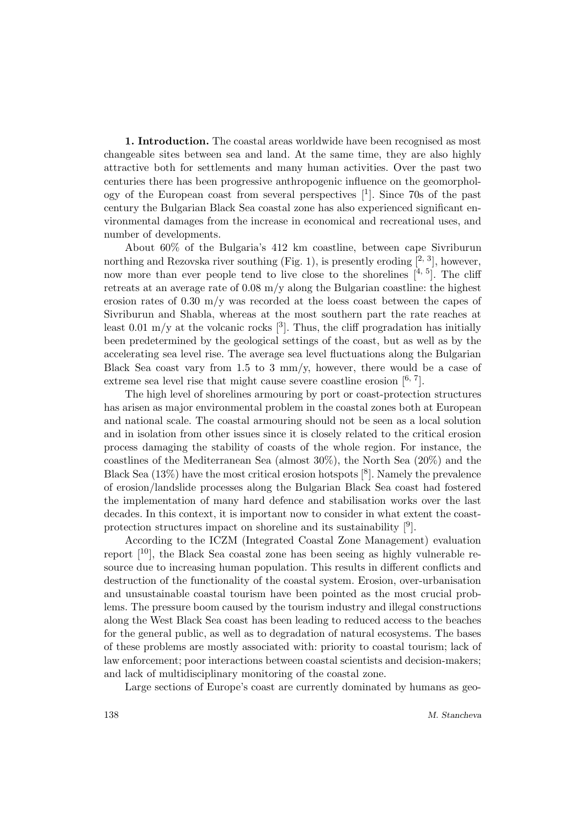1. Introduction. The coastal areas worldwide have been recognised as most changeable sites between sea and land. At the same time, they are also highly attractive both for settlements and many human activities. Over the past two centuries there has been progressive anthropogenic influence on the geomorphology of the European coast from several perspectives [<sup>1</sup> ]. Since 70s of the past century the Bulgarian Black Sea coastal zone has also experienced significant environmental damages from the increase in economical and recreational uses, and number of developments.

About 60% of the Bulgaria's 412 km coastline, between cape Sivriburun northing and Rezovska river southing (Fig. 1), is presently eroding  $[2, 3]$ , however, now more than ever people tend to live close to the shorelines  $[4, 5]$ . The cliff retreats at an average rate of  $0.08 \text{ m/y}$  along the Bulgarian coastline: the highest erosion rates of 0.30 m/y was recorded at the loess coast between the capes of Sivriburun and Shabla, whereas at the most southern part the rate reaches at least 0.01 m/y at the volcanic rocks  $[3]$ . Thus, the cliff progradation has initially been predetermined by the geological settings of the coast, but as well as by the accelerating sea level rise. The average sea level fluctuations along the Bulgarian Black Sea coast vary from  $1.5$  to 3 mm/y, however, there would be a case of extreme sea level rise that might cause severe coastline erosion  $[6, 7]$ .

The high level of shorelines armouring by port or coast-protection structures has arisen as major environmental problem in the coastal zones both at European and national scale. The coastal armouring should not be seen as a local solution and in isolation from other issues since it is closely related to the critical erosion process damaging the stability of coasts of the whole region. For instance, the coastlines of the Mediterranean Sea (almost 30%), the North Sea (20%) and the Black Sea  $(13\%)$  have the most critical erosion hotspots  $[8]$ . Namely the prevalence of erosion/landslide processes along the Bulgarian Black Sea coast had fostered the implementation of many hard defence and stabilisation works over the last decades. In this context, it is important now to consider in what extent the coastprotection structures impact on shoreline and its sustainability  $[9]$ .

According to the ICZM (Integrated Coastal Zone Management) evaluation report  $[10]$ , the Black Sea coastal zone has been seeing as highly vulnerable resource due to increasing human population. This results in different conflicts and destruction of the functionality of the coastal system. Erosion, over-urbanisation and unsustainable coastal tourism have been pointed as the most crucial problems. The pressure boom caused by the tourism industry and illegal constructions along the West Black Sea coast has been leading to reduced access to the beaches for the general public, as well as to degradation of natural ecosystems. The bases of these problems are mostly associated with: priority to coastal tourism; lack of law enforcement; poor interactions between coastal scientists and decision-makers; and lack of multidisciplinary monitoring of the coastal zone.

Large sections of Europe's coast are currently dominated by humans as geo-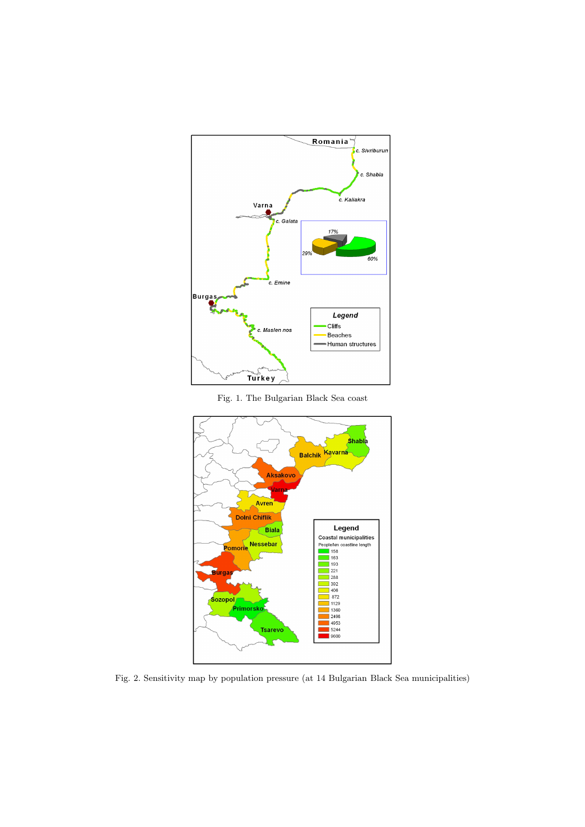

Fig. 1. The Bulgarian Black Sea coast



Fig. 2. Sensitivity map by population pressure (at 14 Bulgarian Black Sea municipalities)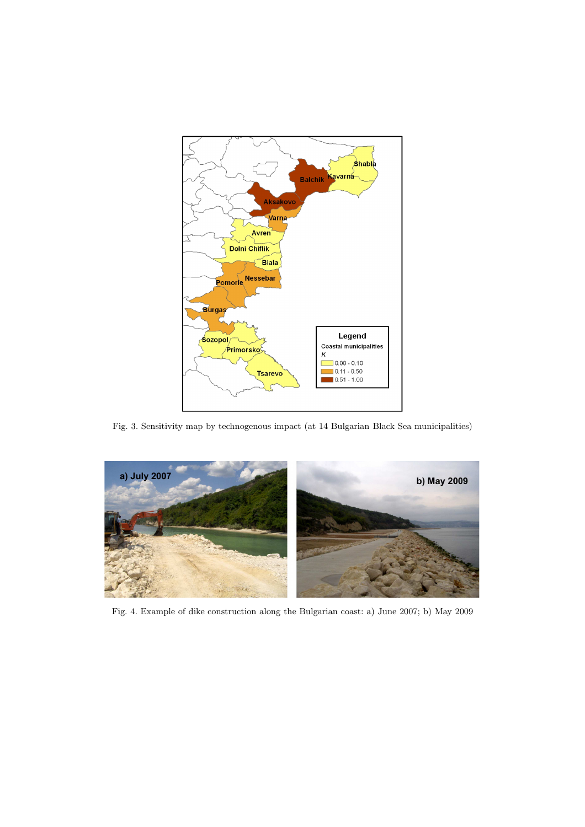

Fig. 3. Sensitivity map by technogenous impact (at 14 Bulgarian Black Sea municipalities)



Fig. 4. Example of dike construction along the Bulgarian coast: a) June 2007; b) May 2009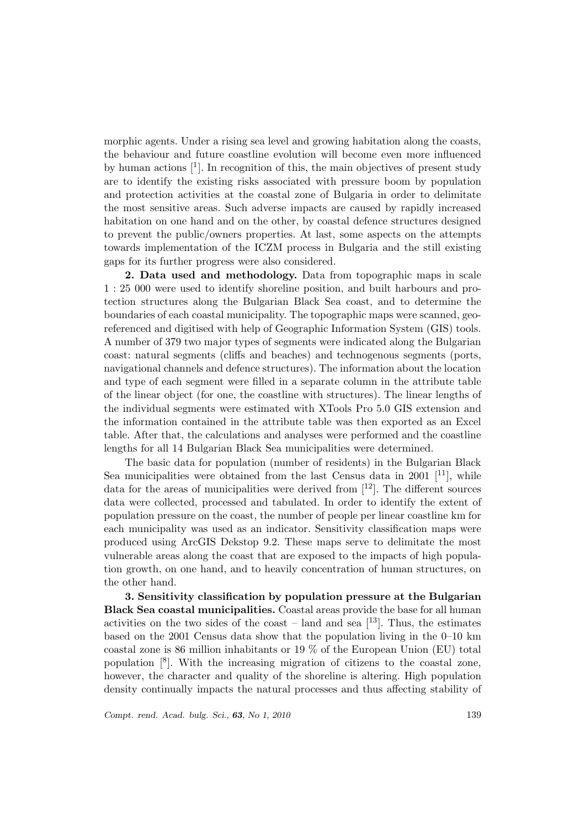morphic agents. Under a rising sea level and growing habitation along the coasts, the behaviour and future coastline evolution will become even more influenced by human actions  $\mathcal{F}$ . In recognition of this, the main objectives of present study are to identify the existing risks associated with pressure boom by population and protection activities at the coastal zone of Bulgaria in order to delimitate the most sensitive areas. Such adverse impacts are caused by rapidly increased habitation on one hand and on the other, by coastal defence structures designed to prevent the public/owners properties. At last, some aspects on the attempts towards implementation of the ICZM process in Bulgaria and the still existing gaps for its further progress were also considered.

2. Data used and methodology. Data from topographic maps in scale 1 : 25 000 were used to identify shoreline position, and built harbours and protection structures along the Bulgarian Black Sea coast, and to determine the boundaries of each coastal municipality. The topographic maps were scanned, georeferenced and digitised with help of Geographic Information System (GIS) tools. A number of 379 two major types of segments were indicated along the Bulgarian coast: natural segments (cliffs and beaches) and technogenous segments (ports, navigational channels and defence structures). The information about the location and type of each segment were filled in a separate column in the attribute table of the linear object (for one, the coastline with structures). The linear lengths of the individual segments were estimated with XTools Pro 5.0 GIS extension and the information contained in the attribute table was then exported as an Excel table. After that, the calculations and analyses were performed and the coastline lengths for all 14 Bulgarian Black Sea municipalities were determined.

The basic data for population (number of residents) in the Bulgarian Black Sea municipalities were obtained from the last Census data in 2001  $[11]$ , while data for the areas of municipalities were derived from  $[12]$ . The different sources data were collected, processed and tabulated. In order to identify the extent of population pressure on the coast, the number of people per linear coastline km for each municipality was used as an indicator. Sensitivity classification maps were produced using ArcGIS Dekstop 9.2. These maps serve to delimitate the most vulnerable areas along the coast that are exposed to the impacts of high population growth, on one hand, and to heavily concentration of human structures, on the other hand.

3. Sensitivity classification by population pressure at the Bulgarian Black Sea coastal municipalities. Coastal areas provide the base for all human activities on the two sides of the coast – land and sea  $[13]$ . Thus, the estimates based on the 2001 Census data show that the population living in the 0–10 km coastal zone is 86 million inhabitants or 19 % of the European Union (EU) total population  $\lvert \S \rvert$ . With the increasing migration of citizens to the coastal zone, however, the character and quality of the shoreline is altering. High population density continually impacts the natural processes and thus affecting stability of

Compt. rend. Acad. bulg. Sci., **63**, No 1, 2010 139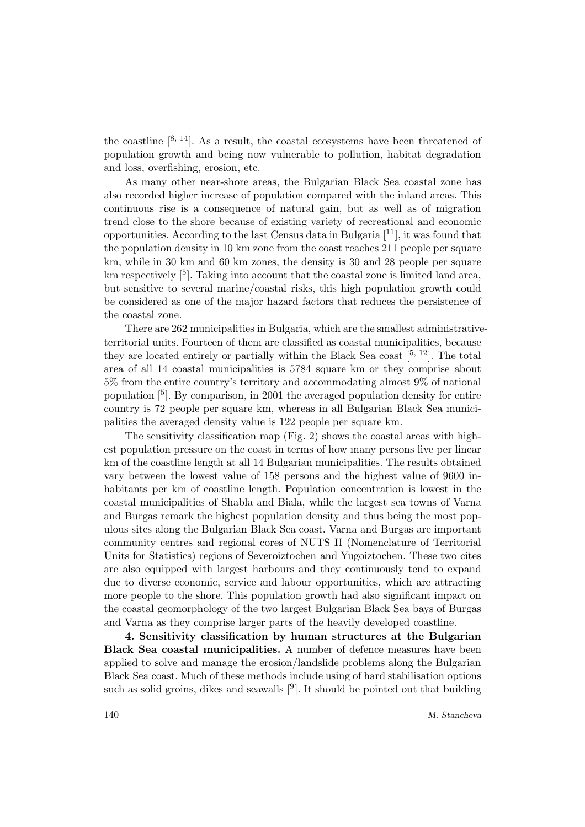the coastline  $[8, 14]$ . As a result, the coastal ecosystems have been threatened of population growth and being now vulnerable to pollution, habitat degradation and loss, overfishing, erosion, etc.

As many other near-shore areas, the Bulgarian Black Sea coastal zone has also recorded higher increase of population compared with the inland areas. This continuous rise is a consequence of natural gain, but as well as of migration trend close to the shore because of existing variety of recreational and economic opportunities. According to the last Census data in Bulgaria [11], it was found that the population density in 10 km zone from the coast reaches 211 people per square km, while in 30 km and 60 km zones, the density is 30 and 28 people per square km respectively  $\lceil 5 \rceil$ . Taking into account that the coastal zone is limited land area, but sensitive to several marine/coastal risks, this high population growth could be considered as one of the major hazard factors that reduces the persistence of the coastal zone.

There are 262 municipalities in Bulgaria, which are the smallest administrativeterritorial units. Fourteen of them are classified as coastal municipalities, because they are located entirely or partially within the Black Sea coast  $[5, 12]$ . The total area of all 14 coastal municipalities is 5784 square km or they comprise about 5% from the entire country's territory and accommodating almost 9% of national population [<sup>5</sup> ]. By comparison, in 2001 the averaged population density for entire country is 72 people per square km, whereas in all Bulgarian Black Sea municipalities the averaged density value is 122 people per square km.

The sensitivity classification map (Fig. 2) shows the coastal areas with highest population pressure on the coast in terms of how many persons live per linear km of the coastline length at all 14 Bulgarian municipalities. The results obtained vary between the lowest value of 158 persons and the highest value of 9600 inhabitants per km of coastline length. Population concentration is lowest in the coastal municipalities of Shabla and Biala, while the largest sea towns of Varna and Burgas remark the highest population density and thus being the most populous sites along the Bulgarian Black Sea coast. Varna and Burgas are important community centres and regional cores of NUTS II (Nomenclature of Territorial Units for Statistics) regions of Severoiztochen and Yugoiztochen. These two cites are also equipped with largest harbours and they continuously tend to expand due to diverse economic, service and labour opportunities, which are attracting more people to the shore. This population growth had also significant impact on the coastal geomorphology of the two largest Bulgarian Black Sea bays of Burgas and Varna as they comprise larger parts of the heavily developed coastline.

4. Sensitivity classification by human structures at the Bulgarian Black Sea coastal municipalities. A number of defence measures have been applied to solve and manage the erosion/landslide problems along the Bulgarian Black Sea coast. Much of these methods include using of hard stabilisation options such as solid groins, dikes and seawalls  $[<sup>9</sup>]$ . It should be pointed out that building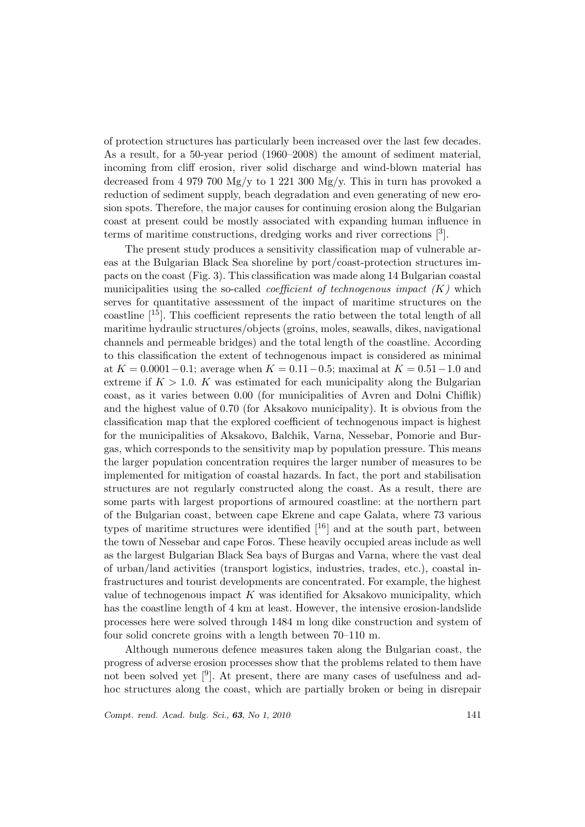of protection structures has particularly been increased over the last few decades. As a result, for a 50-year period (1960–2008) the amount of sediment material, incoming from cliff erosion, river solid discharge and wind-blown material has decreased from 4 979 700 Mg/y to 1 221 300 Mg/y. This in turn has provoked a reduction of sediment supply, beach degradation and even generating of new erosion spots. Therefore, the major causes for continuing erosion along the Bulgarian coast at present could be mostly associated with expanding human influence in terms of maritime constructions, dredging works and river corrections [<sup>3</sup> ].

The present study produces a sensitivity classification map of vulnerable areas at the Bulgarian Black Sea shoreline by port/coast-protection structures impacts on the coast (Fig. 3). This classification was made along 14 Bulgarian coastal municipalities using the so-called *coefficient of technogenous impact*  $(K)$  which serves for quantitative assessment of the impact of maritime structures on the coastline  $[15]$ . This coefficient represents the ratio between the total length of all maritime hydraulic structures/objects (groins, moles, seawalls, dikes, navigational channels and permeable bridges) and the total length of the coastline. According to this classification the extent of technogenous impact is considered as minimal at  $K = 0.0001 - 0.1$ ; average when  $K = 0.11 - 0.5$ ; maximal at  $K = 0.51 - 1.0$  and extreme if  $K > 1.0$ . K was estimated for each municipality along the Bulgarian coast, as it varies between 0.00 (for municipalities of Avren and Dolni Chiflik) and the highest value of 0.70 (for Aksakovo municipality). It is obvious from the classification map that the explored coefficient of technogenous impact is highest for the municipalities of Aksakovo, Balchik, Varna, Nessebar, Pomorie and Burgas, which corresponds to the sensitivity map by population pressure. This means the larger population concentration requires the larger number of measures to be implemented for mitigation of coastal hazards. In fact, the port and stabilisation structures are not regularly constructed along the coast. As a result, there are some parts with largest proportions of armoured coastline: at the northern part of the Bulgarian coast, between cape Ekrene and cape Galata, where 73 various types of maritime structures were identified  $[$ <sup>16</sup> $]$  and at the south part, between the town of Nessebar and cape Foros. These heavily occupied areas include as well as the largest Bulgarian Black Sea bays of Burgas and Varna, where the vast deal of urban/land activities (transport logistics, industries, trades, etc.), coastal infrastructures and tourist developments are concentrated. For example, the highest value of technogenous impact  $K$  was identified for Aksakovo municipality, which has the coastline length of 4 km at least. However, the intensive erosion-landslide processes here were solved through 1484 m long dike construction and system of four solid concrete groins with a length between 70–110 m.

Although numerous defence measures taken along the Bulgarian coast, the progress of adverse erosion processes show that the problems related to them have not been solved yet [<sup>9</sup>]. At present, there are many cases of usefulness and adhoc structures along the coast, which are partially broken or being in disrepair

Compt. rend. Acad. bulg. Sci., 63, No 1, 2010 141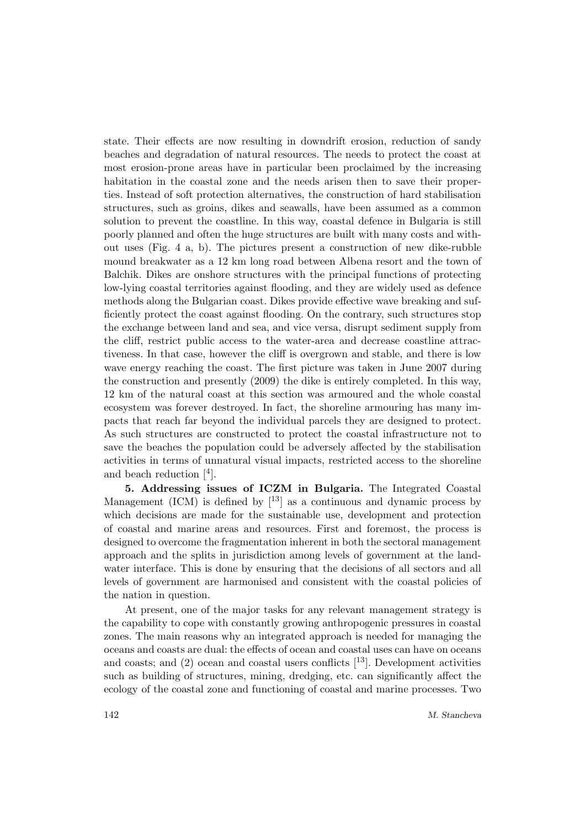state. Their effects are now resulting in downdrift erosion, reduction of sandy beaches and degradation of natural resources. The needs to protect the coast at most erosion-prone areas have in particular been proclaimed by the increasing habitation in the coastal zone and the needs arisen then to save their properties. Instead of soft protection alternatives, the construction of hard stabilisation structures, such as groins, dikes and seawalls, have been assumed as a common solution to prevent the coastline. In this way, coastal defence in Bulgaria is still poorly planned and often the huge structures are built with many costs and without uses (Fig. 4 a, b). The pictures present a construction of new dike-rubble mound breakwater as a 12 km long road between Albena resort and the town of Balchik. Dikes are onshore structures with the principal functions of protecting low-lying coastal territories against flooding, and they are widely used as defence methods along the Bulgarian coast. Dikes provide effective wave breaking and sufficiently protect the coast against flooding. On the contrary, such structures stop the exchange between land and sea, and vice versa, disrupt sediment supply from the cliff, restrict public access to the water-area and decrease coastline attractiveness. In that case, however the cliff is overgrown and stable, and there is low wave energy reaching the coast. The first picture was taken in June 2007 during the construction and presently (2009) the dike is entirely completed. In this way, 12 km of the natural coast at this section was armoured and the whole coastal ecosystem was forever destroyed. In fact, the shoreline armouring has many impacts that reach far beyond the individual parcels they are designed to protect. As such structures are constructed to protect the coastal infrastructure not to save the beaches the population could be adversely affected by the stabilisation activities in terms of unnatural visual impacts, restricted access to the shoreline and beach reduction  $[4]$ .

5. Addressing issues of ICZM in Bulgaria. The Integrated Coastal Management (ICM) is defined by  $\lceil^{13}\rceil$  as a continuous and dynamic process by which decisions are made for the sustainable use, development and protection of coastal and marine areas and resources. First and foremost, the process is designed to overcome the fragmentation inherent in both the sectoral management approach and the splits in jurisdiction among levels of government at the landwater interface. This is done by ensuring that the decisions of all sectors and all levels of government are harmonised and consistent with the coastal policies of the nation in question.

At present, one of the major tasks for any relevant management strategy is the capability to cope with constantly growing anthropogenic pressures in coastal zones. The main reasons why an integrated approach is needed for managing the oceans and coasts are dual: the effects of ocean and coastal uses can have on oceans and coasts; and  $(2)$  ocean and coastal users conflicts  $[13]$ . Development activities such as building of structures, mining, dredging, etc. can significantly affect the ecology of the coastal zone and functioning of coastal and marine processes. Two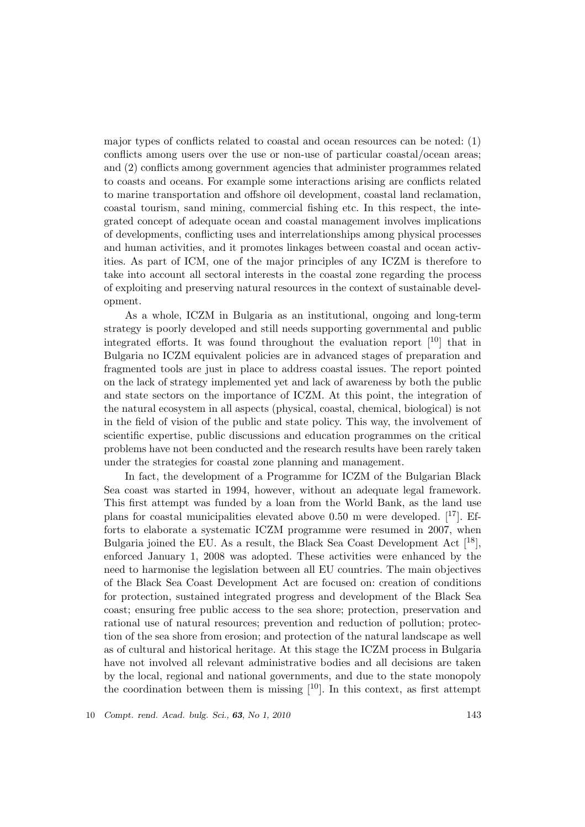major types of conflicts related to coastal and ocean resources can be noted: (1) conflicts among users over the use or non-use of particular coastal/ocean areas; and (2) conflicts among government agencies that administer programmes related to coasts and oceans. For example some interactions arising are conflicts related to marine transportation and offshore oil development, coastal land reclamation, coastal tourism, sand mining, commercial fishing etc. In this respect, the integrated concept of adequate ocean and coastal management involves implications of developments, conflicting uses and interrelationships among physical processes and human activities, and it promotes linkages between coastal and ocean activities. As part of ICM, one of the major principles of any ICZM is therefore to take into account all sectoral interests in the coastal zone regarding the process of exploiting and preserving natural resources in the context of sustainable development.

As a whole, ICZM in Bulgaria as an institutional, ongoing and long-term strategy is poorly developed and still needs supporting governmental and public integrated efforts. It was found throughout the evaluation report  $[10]$  that in Bulgaria no ICZM equivalent policies are in advanced stages of preparation and fragmented tools are just in place to address coastal issues. The report pointed on the lack of strategy implemented yet and lack of awareness by both the public and state sectors on the importance of ICZM. At this point, the integration of the natural ecosystem in all aspects (physical, coastal, chemical, biological) is not in the field of vision of the public and state policy. This way, the involvement of scientific expertise, public discussions and education programmes on the critical problems have not been conducted and the research results have been rarely taken under the strategies for coastal zone planning and management.

In fact, the development of a Programme for ICZM of the Bulgarian Black Sea coast was started in 1994, however, without an adequate legal framework. This first attempt was funded by a loan from the World Bank, as the land use plans for coastal municipalities elevated above 0.50 m were developed.  $[17]$ . Efforts to elaborate a systematic ICZM programme were resumed in 2007, when Bulgaria joined the EU. As a result, the Black Sea Coast Development Act  $[18]$ , enforced January 1, 2008 was adopted. These activities were enhanced by the need to harmonise the legislation between all EU countries. The main objectives of the Black Sea Coast Development Act are focused on: creation of conditions for protection, sustained integrated progress and development of the Black Sea coast; ensuring free public access to the sea shore; protection, preservation and rational use of natural resources; prevention and reduction of pollution; protection of the sea shore from erosion; and protection of the natural landscape as well as of cultural and historical heritage. At this stage the ICZM process in Bulgaria have not involved all relevant administrative bodies and all decisions are taken by the local, regional and national governments, and due to the state monopoly the coordination between them is missing  $[10]$ . In this context, as first attempt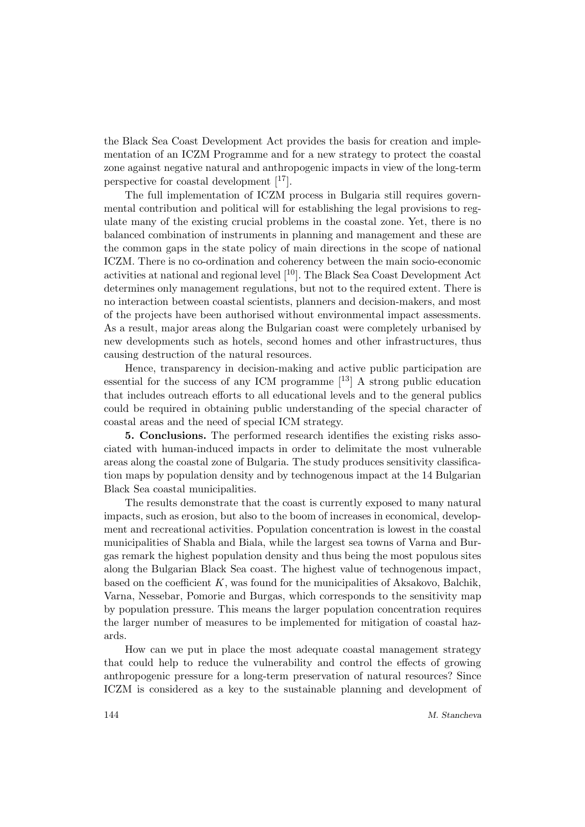the Black Sea Coast Development Act provides the basis for creation and implementation of an ICZM Programme and for a new strategy to protect the coastal zone against negative natural and anthropogenic impacts in view of the long-term perspective for coastal development  $[17]$ .

The full implementation of ICZM process in Bulgaria still requires governmental contribution and political will for establishing the legal provisions to regulate many of the existing crucial problems in the coastal zone. Yet, there is no balanced combination of instruments in planning and management and these are the common gaps in the state policy of main directions in the scope of national ICZM. There is no co-ordination and coherency between the main socio-economic activities at national and regional level [10]. The Black Sea Coast Development Act determines only management regulations, but not to the required extent. There is no interaction between coastal scientists, planners and decision-makers, and most of the projects have been authorised without environmental impact assessments. As a result, major areas along the Bulgarian coast were completely urbanised by new developments such as hotels, second homes and other infrastructures, thus causing destruction of the natural resources.

Hence, transparency in decision-making and active public participation are essential for the success of any ICM programme  $[13]$  A strong public education that includes outreach efforts to all educational levels and to the general publics could be required in obtaining public understanding of the special character of coastal areas and the need of special ICM strategy.

5. Conclusions. The performed research identifies the existing risks associated with human-induced impacts in order to delimitate the most vulnerable areas along the coastal zone of Bulgaria. The study produces sensitivity classification maps by population density and by technogenous impact at the 14 Bulgarian Black Sea coastal municipalities.

The results demonstrate that the coast is currently exposed to many natural impacts, such as erosion, but also to the boom of increases in economical, development and recreational activities. Population concentration is lowest in the coastal municipalities of Shabla and Biala, while the largest sea towns of Varna and Burgas remark the highest population density and thus being the most populous sites along the Bulgarian Black Sea coast. The highest value of technogenous impact, based on the coefficient  $K$ , was found for the municipalities of Aksakovo, Balchik, Varna, Nessebar, Pomorie and Burgas, which corresponds to the sensitivity map by population pressure. This means the larger population concentration requires the larger number of measures to be implemented for mitigation of coastal hazards.

How can we put in place the most adequate coastal management strategy that could help to reduce the vulnerability and control the effects of growing anthropogenic pressure for a long-term preservation of natural resources? Since ICZM is considered as a key to the sustainable planning and development of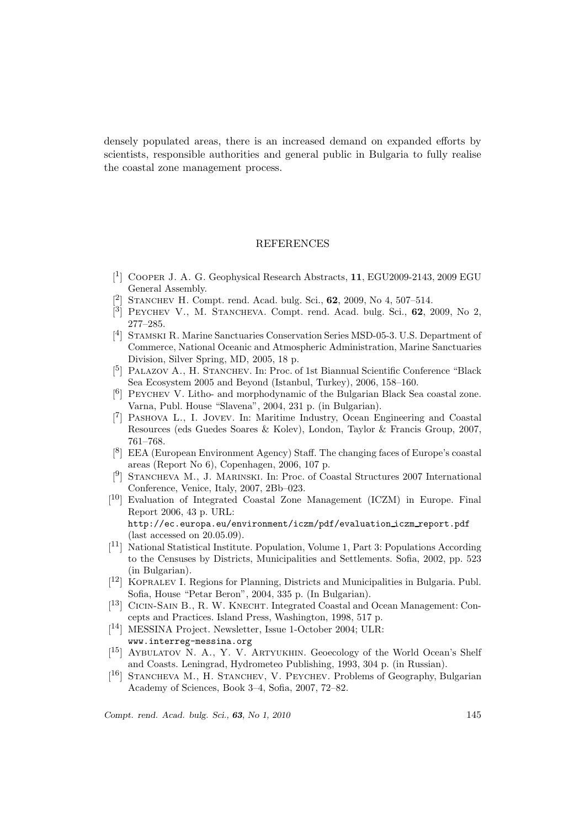densely populated areas, there is an increased demand on expanded efforts by scientists, responsible authorities and general public in Bulgaria to fully realise the coastal zone management process.

### **REFERENCES**

- [ 1 ] Cooper J. A. G. Geophysical Research Abstracts, 11, EGU2009-2143, 2009 EGU General Assembly.
- [ 2 ] Stanchev H. Compt. rend. Acad. bulg. Sci., 62, 2009, No 4, 507–514.
- $\left[\begin{smallmatrix} 3 \ 1 \end{smallmatrix}\right]$  PEYCHEV V., M. STANCHEVA. Compt. rend. Acad. bulg. Sci., 62, 2009, No 2, 277–285.
- [<sup>4</sup>] STAMSKI R. Marine Sanctuaries Conservation Series MSD-05-3. U.S. Department of Commerce, National Oceanic and Atmospheric Administration, Marine Sanctuaries Division, Silver Spring, MD, 2005, 18 p.
- [<sup>5</sup>] PALAZOV A., H. STANCHEV. In: Proc. of 1st Biannual Scientific Conference "Black Sea Ecosystem 2005 and Beyond (Istanbul, Turkey), 2006, 158–160.
- [<sup>6</sup>] PEYCHEV V. Litho- and morphodynamic of the Bulgarian Black Sea coastal zone. Varna, Publ. House "Slavena", 2004, 231 p. (in Bulgarian).
- [<sup>7</sup>] PASHOVA L., I. JOVEV. In: Maritime Industry, Ocean Engineering and Coastal Resources (eds Guedes Soares & Kolev), London, Taylor & Francis Group, 2007, 761–768.
- [ 8 ] EEA (European Environment Agency) Staff. The changing faces of Europe's coastal areas (Report No 6), Copenhagen, 2006, 107 p.
- [<sup>9</sup>] STANCHEVA M., J. MARINSKI. In: Proc. of Coastal Structures 2007 International Conference, Venice, Italy, 2007, 2Bb–023.
- [<sup>10</sup>] Evaluation of Integrated Coastal Zone Management (ICZM) in Europe. Final Report 2006, 43 p. URL: http://ec.europa.eu/environment/iczm/pdf/evaluation iczm report.pdf (last accessed on 20.05.09).
- [ <sup>11</sup>] National Statistical Institute. Population, Volume 1, Part 3: Populations According to the Censuses by Districts, Municipalities and Settlements. Sofia, 2002, pp. 523 (in Bulgarian).
- [<sup>12</sup>] KOPRALEV I. Regions for Planning, Districts and Municipalities in Bulgaria. Publ. Sofia, House "Petar Beron", 2004, 335 p. (In Bulgarian).
- [<sup>13</sup>] CICIN-SAIN B., R. W. KNECHT. Integrated Coastal and Ocean Management: Concepts and Practices. Island Press, Washington, 1998, 517 p.
- [ <sup>14</sup>] MESSINA Project. Newsletter, Issue 1-October 2004; ULR: www.interreg-messina.org
- [<sup>15</sup>] AYBULATOV N. A., Y. V. ARTYUKHIN. Geoecology of the World Ocean's Shelf and Coasts. Leningrad, Hydrometeo Publishing, 1993, 304 p. (in Russian).
- [<sup>16</sup>] STANCHEVA M., H. STANCHEV, V. PEYCHEV. Problems of Geography, Bulgarian Academy of Sciences, Book 3–4, Sofia, 2007, 72–82.

Compt. rend. Acad. bulg. Sci., **63**, No 1, 2010 145